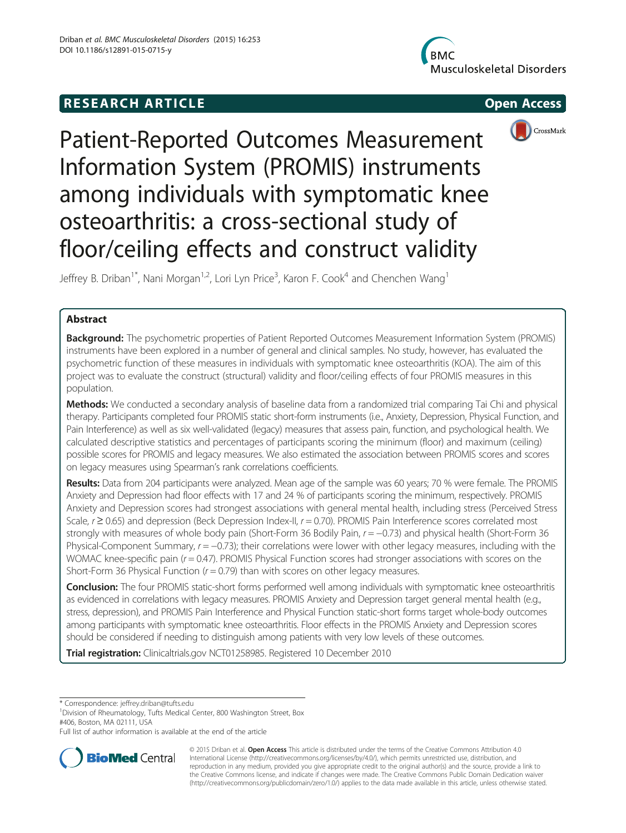# **RESEARCH ARTICLE Example 2014 12:30 The SEAR CHA RTICLE**







Patient-Reported Outcomes Measurement Information System (PROMIS) instruments among individuals with symptomatic knee osteoarthritis: a cross-sectional study of floor/ceiling effects and construct validity

Jeffrey B. Driban $^{1*}$ , Nani Morgan $^{1,2}$ , Lori Lyn Price $^3$ , Karon F. Cook $^4$  and Chenchen Wang $^1$ 

## Abstract

**Background:** The psychometric properties of Patient Reported Outcomes Measurement Information System (PROMIS) instruments have been explored in a number of general and clinical samples. No study, however, has evaluated the psychometric function of these measures in individuals with symptomatic knee osteoarthritis (KOA). The aim of this project was to evaluate the construct (structural) validity and floor/ceiling effects of four PROMIS measures in this population.

Methods: We conducted a secondary analysis of baseline data from a randomized trial comparing Tai Chi and physical therapy. Participants completed four PROMIS static short-form instruments (i.e., Anxiety, Depression, Physical Function, and Pain Interference) as well as six well-validated (legacy) measures that assess pain, function, and psychological health. We calculated descriptive statistics and percentages of participants scoring the minimum (floor) and maximum (ceiling) possible scores for PROMIS and legacy measures. We also estimated the association between PROMIS scores and scores on legacy measures using Spearman's rank correlations coefficients.

Results: Data from 204 participants were analyzed. Mean age of the sample was 60 years; 70 % were female. The PROMIS Anxiety and Depression had floor effects with 17 and 24 % of participants scoring the minimum, respectively. PROMIS Anxiety and Depression scores had strongest associations with general mental health, including stress (Perceived Stress Scale,  $r \ge 0.65$ ) and depression (Beck Depression Index-II,  $r = 0.70$ ). PROMIS Pain Interference scores correlated most strongly with measures of whole body pain (Short-Form 36 Bodily Pain,  $r = -0.73$ ) and physical health (Short-Form 36 Physical-Component Summary,  $r = -0.73$ ); their correlations were lower with other legacy measures, including with the WOMAC knee-specific pain ( $r = 0.47$ ). PROMIS Physical Function scores had stronger associations with scores on the Short-Form 36 Physical Function ( $r = 0.79$ ) than with scores on other legacy measures.

**Conclusion:** The four PROMIS static-short forms performed well among individuals with symptomatic knee osteoarthritis as evidenced in correlations with legacy measures. PROMIS Anxiety and Depression target general mental health (e.g., stress, depression), and PROMIS Pain Interference and Physical Function static-short forms target whole-body outcomes among participants with symptomatic knee osteoarthritis. Floor effects in the PROMIS Anxiety and Depression scores should be considered if needing to distinguish among patients with very low levels of these outcomes.

Trial registration: Clinicaltrials.gov [NCT01258985.](https://clinicaltrials.gov/ct2/show/NCT01258985) Registered 10 December 2010

\* Correspondence: [jeffrey.driban@tufts.edu](mailto:jeffrey.driban@tufts.edu) <sup>1</sup>

<sup>1</sup> Division of Rheumatology, Tufts Medical Center, 800 Washington Street, Box #406, Boston, MA 02111, USA

Full list of author information is available at the end of the article



© 2015 Driban et al. Open Access This article is distributed under the terms of the Creative Commons Attribution 4.0 International License [\(http://creativecommons.org/licenses/by/4.0/](http://creativecommons.org/licenses/by/4.0/)), which permits unrestricted use, distribution, and reproduction in any medium, provided you give appropriate credit to the original author(s) and the source, provide a link to the Creative Commons license, and indicate if changes were made. The Creative Commons Public Domain Dedication waiver [\(http://creativecommons.org/publicdomain/zero/1.0/](http://creativecommons.org/publicdomain/zero/1.0/)) applies to the data made available in this article, unless otherwise stated.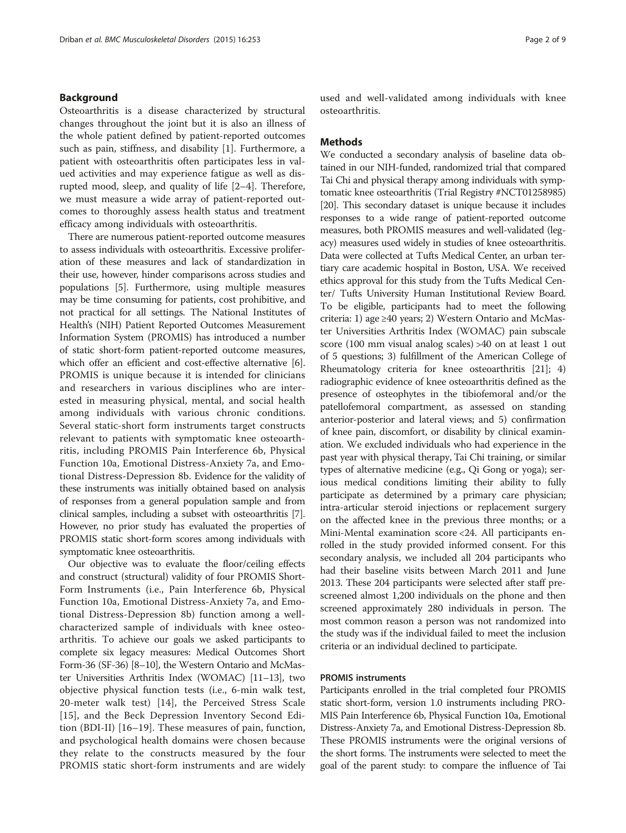## Background

Osteoarthritis is a disease characterized by structural changes throughout the joint but it is also an illness of the whole patient defined by patient-reported outcomes such as pain, stiffness, and disability [[1](#page-7-0)]. Furthermore, a patient with osteoarthritis often participates less in valued activities and may experience fatigue as well as disrupted mood, sleep, and quality of life [\[2](#page-7-0)–[4](#page-8-0)]. Therefore, we must measure a wide array of patient-reported outcomes to thoroughly assess health status and treatment efficacy among individuals with osteoarthritis.

There are numerous patient-reported outcome measures to assess individuals with osteoarthritis. Excessive proliferation of these measures and lack of standardization in their use, however, hinder comparisons across studies and populations [\[5](#page-8-0)]. Furthermore, using multiple measures may be time consuming for patients, cost prohibitive, and not practical for all settings. The National Institutes of Health's (NIH) Patient Reported Outcomes Measurement Information System (PROMIS) has introduced a number of static short-form patient-reported outcome measures, which offer an efficient and cost-effective alternative [[6](#page-8-0)]. PROMIS is unique because it is intended for clinicians and researchers in various disciplines who are interested in measuring physical, mental, and social health among individuals with various chronic conditions. Several static-short form instruments target constructs relevant to patients with symptomatic knee osteoarthritis, including PROMIS Pain Interference 6b, Physical Function 10a, Emotional Distress-Anxiety 7a, and Emotional Distress-Depression 8b. Evidence for the validity of these instruments was initially obtained based on analysis of responses from a general population sample and from clinical samples, including a subset with osteoarthritis [[7](#page-8-0)]. However, no prior study has evaluated the properties of PROMIS static short-form scores among individuals with symptomatic knee osteoarthritis.

Our objective was to evaluate the floor/ceiling effects and construct (structural) validity of four PROMIS Short-Form Instruments (i.e., Pain Interference 6b, Physical Function 10a, Emotional Distress-Anxiety 7a, and Emotional Distress-Depression 8b) function among a wellcharacterized sample of individuals with knee osteoarthritis. To achieve our goals we asked participants to complete six legacy measures: Medical Outcomes Short Form-36 (SF-36) [[8](#page-8-0)–[10\]](#page-8-0), the Western Ontario and McMaster Universities Arthritis Index (WOMAC) [\[11](#page-8-0)–[13](#page-8-0)], two objective physical function tests (i.e., 6-min walk test, 20-meter walk test) [[14\]](#page-8-0), the Perceived Stress Scale [[15\]](#page-8-0), and the Beck Depression Inventory Second Edition (BDI-II) [[16](#page-8-0)–[19\]](#page-8-0). These measures of pain, function, and psychological health domains were chosen because they relate to the constructs measured by the four PROMIS static short-form instruments and are widely

used and well-validated among individuals with knee osteoarthritis.

## Methods

We conducted a secondary analysis of baseline data obtained in our NIH-funded, randomized trial that compared Tai Chi and physical therapy among individuals with symptomatic knee osteoarthritis (Trial Registry #NCT01258985) [[20](#page-8-0)]. This secondary dataset is unique because it includes responses to a wide range of patient-reported outcome measures, both PROMIS measures and well-validated (legacy) measures used widely in studies of knee osteoarthritis. Data were collected at Tufts Medical Center, an urban tertiary care academic hospital in Boston, USA. We received ethics approval for this study from the Tufts Medical Center/ Tufts University Human Institutional Review Board. To be eligible, participants had to meet the following criteria: 1) age ≥40 years; 2) Western Ontario and McMaster Universities Arthritis Index (WOMAC) pain subscale score (100 mm visual analog scales) >40 on at least 1 out of 5 questions; 3) fulfillment of the American College of Rheumatology criteria for knee osteoarthritis [\[21\]](#page-8-0); 4) radiographic evidence of knee osteoarthritis defined as the presence of osteophytes in the tibiofemoral and/or the patellofemoral compartment, as assessed on standing anterior-posterior and lateral views; and 5) confirmation of knee pain, discomfort, or disability by clinical examination. We excluded individuals who had experience in the past year with physical therapy, Tai Chi training, or similar types of alternative medicine (e.g., Qi Gong or yoga); serious medical conditions limiting their ability to fully participate as determined by a primary care physician; intra-articular steroid injections or replacement surgery on the affected knee in the previous three months; or a Mini-Mental examination score <24. All participants enrolled in the study provided informed consent. For this secondary analysis, we included all 204 participants who had their baseline visits between March 2011 and June 2013. These 204 participants were selected after staff prescreened almost 1,200 individuals on the phone and then screened approximately 280 individuals in person. The most common reason a person was not randomized into the study was if the individual failed to meet the inclusion criteria or an individual declined to participate.

## PROMIS instruments

Participants enrolled in the trial completed four PROMIS static short-form, version 1.0 instruments including PRO-MIS Pain Interference 6b, Physical Function 10a, Emotional Distress-Anxiety 7a, and Emotional Distress-Depression 8b. These PROMIS instruments were the original versions of the short forms. The instruments were selected to meet the goal of the parent study: to compare the influence of Tai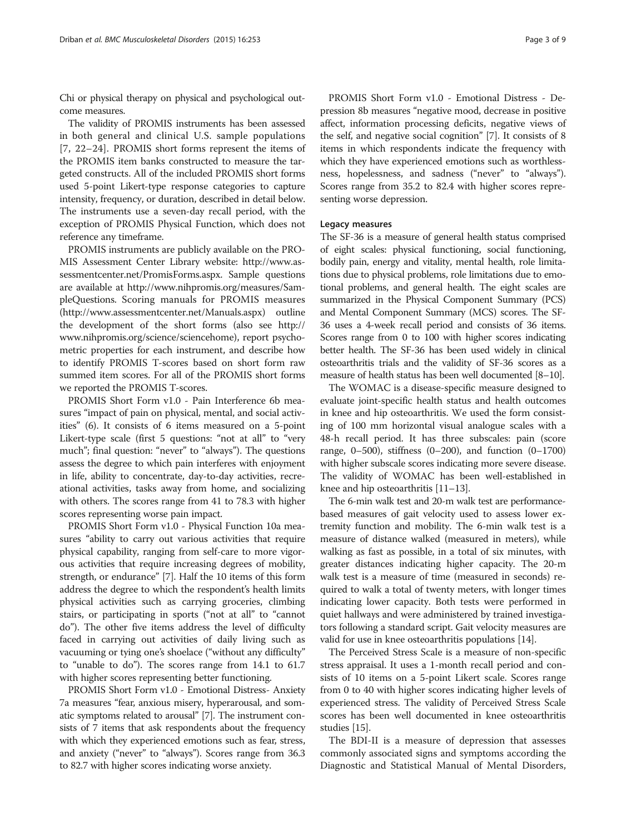Chi or physical therapy on physical and psychological outcome measures.

The validity of PROMIS instruments has been assessed in both general and clinical U.S. sample populations [[7](#page-8-0), [22](#page-8-0)–[24](#page-8-0)]. PROMIS short forms represent the items of the PROMIS item banks constructed to measure the targeted constructs. All of the included PROMIS short forms used 5-point Likert-type response categories to capture intensity, frequency, or duration, described in detail below. The instruments use a seven-day recall period, with the exception of PROMIS Physical Function, which does not reference any timeframe.

PROMIS instruments are publicly available on the PRO-MIS Assessment Center Library website: [http://www.as](http://www.assessmentcenter.net/PromisForms.aspx)[sessmentcenter.net/PromisForms.aspx.](http://www.assessmentcenter.net/PromisForms.aspx) Sample questions are available at [http://www.nihpromis.org/measures/Sam](http://www.nihpromis.org/measures/SampleQuestions)[pleQuestions.](http://www.nihpromis.org/measures/SampleQuestions) Scoring manuals for PROMIS measures ([http://www.assessmentcenter.net/Manuals.aspx\)](http://www.assessmentcenter.net/Manuals.aspx) outline the development of the short forms (also see [http://](http://www.nihpromis.org/science/sciencehome) [www.nihpromis.org/science/sciencehome](http://www.nihpromis.org/science/sciencehome)), report psychometric properties for each instrument, and describe how to identify PROMIS T-scores based on short form raw summed item scores. For all of the PROMIS short forms we reported the PROMIS T-scores.

PROMIS Short Form v1.0 - Pain Interference 6b measures "impact of pain on physical, mental, and social activities" (6). It consists of 6 items measured on a 5-point Likert-type scale (first 5 questions: "not at all" to "very much"; final question: "never" to "always"). The questions assess the degree to which pain interferes with enjoyment in life, ability to concentrate, day-to-day activities, recreational activities, tasks away from home, and socializing with others. The scores range from 41 to 78.3 with higher scores representing worse pain impact.

PROMIS Short Form v1.0 - Physical Function 10a measures "ability to carry out various activities that require physical capability, ranging from self-care to more vigorous activities that require increasing degrees of mobility, strength, or endurance" [\[7](#page-8-0)]. Half the 10 items of this form address the degree to which the respondent's health limits physical activities such as carrying groceries, climbing stairs, or participating in sports ("not at all" to "cannot do"). The other five items address the level of difficulty faced in carrying out activities of daily living such as vacuuming or tying one's shoelace ("without any difficulty" to "unable to do"). The scores range from 14.1 to 61.7 with higher scores representing better functioning.

PROMIS Short Form v1.0 - Emotional Distress- Anxiety 7a measures "fear, anxious misery, hyperarousal, and somatic symptoms related to arousal" [\[7\]](#page-8-0). The instrument consists of 7 items that ask respondents about the frequency with which they experienced emotions such as fear, stress, and anxiety ("never" to "always"). Scores range from 36.3 to 82.7 with higher scores indicating worse anxiety.

PROMIS Short Form v1.0 - Emotional Distress - Depression 8b measures "negative mood, decrease in positive affect, information processing deficits, negative views of the self, and negative social cognition" [[7](#page-8-0)]. It consists of 8 items in which respondents indicate the frequency with which they have experienced emotions such as worthlessness, hopelessness, and sadness ("never" to "always"). Scores range from 35.2 to 82.4 with higher scores representing worse depression.

## Legacy measures

The SF-36 is a measure of general health status comprised of eight scales: physical functioning, social functioning, bodily pain, energy and vitality, mental health, role limitations due to physical problems, role limitations due to emotional problems, and general health. The eight scales are summarized in the Physical Component Summary (PCS) and Mental Component Summary (MCS) scores. The SF-36 uses a 4-week recall period and consists of 36 items. Scores range from 0 to 100 with higher scores indicating better health. The SF-36 has been used widely in clinical osteoarthritis trials and the validity of SF-36 scores as a measure of health status has been well documented [\[8](#page-8-0)–[10](#page-8-0)].

The WOMAC is a disease-specific measure designed to evaluate joint-specific health status and health outcomes in knee and hip osteoarthritis. We used the form consisting of 100 mm horizontal visual analogue scales with a 48-h recall period. It has three subscales: pain (score range,  $0-500$ ), stiffness  $(0-200)$ , and function  $(0-1700)$ with higher subscale scores indicating more severe disease. The validity of WOMAC has been well-established in knee and hip osteoarthritis [\[11](#page-8-0)–[13](#page-8-0)].

The 6-min walk test and 20-m walk test are performancebased measures of gait velocity used to assess lower extremity function and mobility. The 6-min walk test is a measure of distance walked (measured in meters), while walking as fast as possible, in a total of six minutes, with greater distances indicating higher capacity. The 20-m walk test is a measure of time (measured in seconds) required to walk a total of twenty meters, with longer times indicating lower capacity. Both tests were performed in quiet hallways and were administered by trained investigators following a standard script. Gait velocity measures are valid for use in knee osteoarthritis populations [[14](#page-8-0)].

The Perceived Stress Scale is a measure of non-specific stress appraisal. It uses a 1-month recall period and consists of 10 items on a 5-point Likert scale. Scores range from 0 to 40 with higher scores indicating higher levels of experienced stress. The validity of Perceived Stress Scale scores has been well documented in knee osteoarthritis studies [\[15\]](#page-8-0).

The BDI-II is a measure of depression that assesses commonly associated signs and symptoms according the Diagnostic and Statistical Manual of Mental Disorders,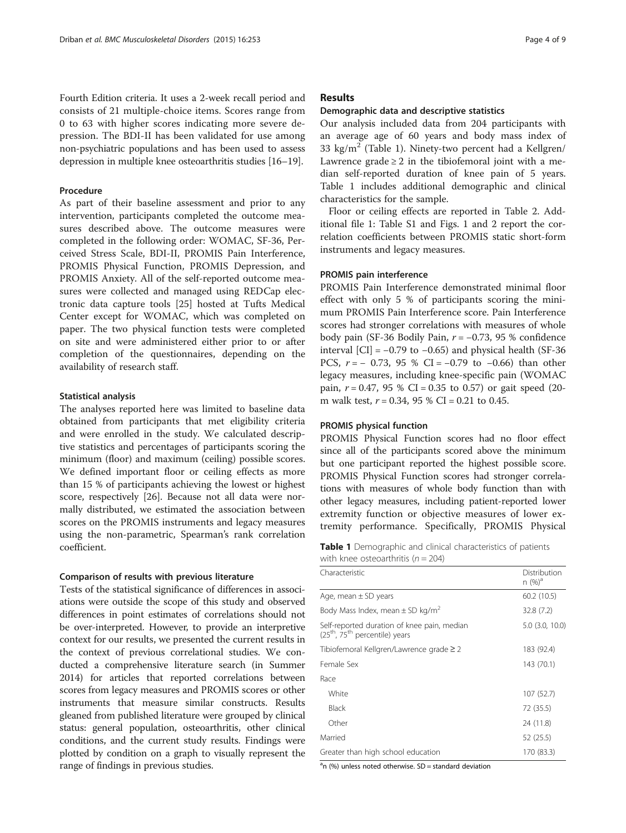Fourth Edition criteria. It uses a 2-week recall period and consists of 21 multiple-choice items. Scores range from 0 to 63 with higher scores indicating more severe depression. The BDI-II has been validated for use among non-psychiatric populations and has been used to assess depression in multiple knee osteoarthritis studies [\[16](#page-8-0)–[19](#page-8-0)].

## Procedure

As part of their baseline assessment and prior to any intervention, participants completed the outcome measures described above. The outcome measures were completed in the following order: WOMAC, SF-36, Perceived Stress Scale, BDI-II, PROMIS Pain Interference, PROMIS Physical Function, PROMIS Depression, and PROMIS Anxiety. All of the self-reported outcome measures were collected and managed using REDCap electronic data capture tools [\[25\]](#page-8-0) hosted at Tufts Medical Center except for WOMAC, which was completed on paper. The two physical function tests were completed on site and were administered either prior to or after completion of the questionnaires, depending on the availability of research staff.

#### Statistical analysis

The analyses reported here was limited to baseline data obtained from participants that met eligibility criteria and were enrolled in the study. We calculated descriptive statistics and percentages of participants scoring the minimum (floor) and maximum (ceiling) possible scores. We defined important floor or ceiling effects as more than 15 % of participants achieving the lowest or highest score, respectively [[26](#page-8-0)]. Because not all data were normally distributed, we estimated the association between scores on the PROMIS instruments and legacy measures using the non-parametric, Spearman's rank correlation coefficient.

## Comparison of results with previous literature

Tests of the statistical significance of differences in associations were outside the scope of this study and observed differences in point estimates of correlations should not be over-interpreted. However, to provide an interpretive context for our results, we presented the current results in the context of previous correlational studies. We conducted a comprehensive literature search (in Summer 2014) for articles that reported correlations between scores from legacy measures and PROMIS scores or other instruments that measure similar constructs. Results gleaned from published literature were grouped by clinical status: general population, osteoarthritis, other clinical conditions, and the current study results. Findings were plotted by condition on a graph to visually represent the range of findings in previous studies.

## Results

## Demographic data and descriptive statistics

Our analysis included data from 204 participants with an average age of 60 years and body mass index of 33 kg/m<sup>2</sup> (Table 1). Ninety-two percent had a Kellgren/ Lawrence grade  $\geq 2$  in the tibiofemoral joint with a median self-reported duration of knee pain of 5 years. Table 1 includes additional demographic and clinical characteristics for the sample.

Floor or ceiling effects are reported in Table [2](#page-4-0). Additional file [1](#page-7-0): Table S1 and Figs. [1](#page-5-0) and [2](#page-6-0) report the correlation coefficients between PROMIS static short-form instruments and legacy measures.

## PROMIS pain interference

PROMIS Pain Interference demonstrated minimal floor effect with only 5 % of participants scoring the minimum PROMIS Pain Interference score. Pain Interference scores had stronger correlations with measures of whole body pain (SF-36 Bodily Pain,  $r = -0.73$ , 95 % confidence interval  $|CI|$  = −0.79 to −0.65) and physical health (SF-36 PCS,  $r = -0.73$ , 95 % CI = -0.79 to -0.66) than other legacy measures, including knee-specific pain (WOMAC pain,  $r = 0.47$ , 95 % CI = 0.35 to 0.57) or gait speed (20m walk test,  $r = 0.34$ , 95 % CI = 0.21 to 0.45.

## PROMIS physical function

PROMIS Physical Function scores had no floor effect since all of the participants scored above the minimum but one participant reported the highest possible score. PROMIS Physical Function scores had stronger correlations with measures of whole body function than with other legacy measures, including patient-reported lower extremity function or objective measures of lower extremity performance. Specifically, PROMIS Physical

Table 1 Demographic and clinical characteristics of patients with knee osteoarthritis ( $n = 204$ )

| Characteristic                                                                                        | Distribution<br>$n (%)^d$ |
|-------------------------------------------------------------------------------------------------------|---------------------------|
| Age, mean $\pm$ SD years                                                                              | 60.2 (10.5)               |
| Body Mass Index, mean $\pm$ SD kg/m <sup>2</sup>                                                      | 32.8(7.2)                 |
| Self-reported duration of knee pain, median<br>(25 <sup>th</sup> , 75 <sup>th</sup> percentile) years | $5.0$ (3.0, 10.0)         |
| Tibiofemoral Kellgren/Lawrence grade $\geq 2$                                                         | 183 (92.4)                |
| Female Sex                                                                                            | 143 (70.1)                |
| Race                                                                                                  |                           |
| White                                                                                                 | 107 (52.7)                |
| <b>Black</b>                                                                                          | 72 (35.5)                 |
| Other                                                                                                 | 24 (11.8)                 |
| Married                                                                                               | 52 (25.5)                 |
| Greater than high school education                                                                    | 170 (83.3)                |

 $a_n$  (%) unless noted otherwise. SD = standard deviation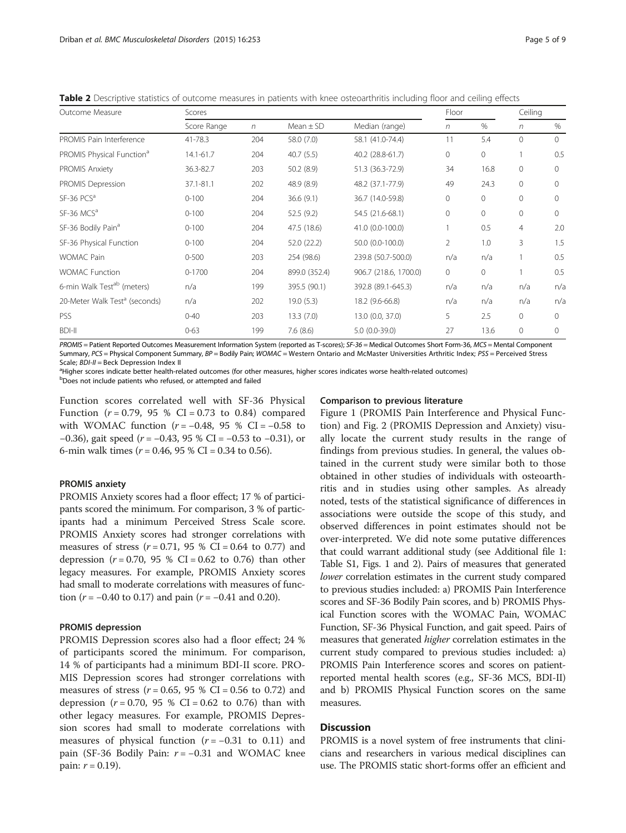| Outcome Measure                           | Scores      |     |               |                       | Floor          |              | Ceiling        |               |
|-------------------------------------------|-------------|-----|---------------|-----------------------|----------------|--------------|----------------|---------------|
|                                           | Score Range | n   | Mean $\pm$ SD | Median (range)        | n              | $\%$         | n              | %             |
| PROMIS Pain Interference                  | 41-78.3     | 204 | 58.0 (7.0)    | 58.1 (41.0-74.4)      | 11             | 5.4          | $\mathbf{0}$   | $\Omega$      |
| PROMIS Physical Function <sup>a</sup>     | 14.1-61.7   | 204 | 40.7(5.5)     | 40.2 (28.8-61.7)      | $\mathbf{0}$   | 0            |                | 0.5           |
| PROMIS Anxiety                            | 36.3-82.7   | 203 | 50.2 (8.9)    | 51.3 (36.3-72.9)      | 34             | 16.8         | $\mathbf 0$    | $\mathbf{0}$  |
| PROMIS Depression                         | 37.1-81.1   | 202 | 48.9 (8.9)    | 48.2 (37.1-77.9)      | 49             | 24.3         | $\mathbf{0}$   | $\circ$       |
| SF-36 PCS <sup>a</sup>                    | $0 - 100$   | 204 | 36.6(9.1)     | 36.7 (14.0-59.8)      | 0              | $\circ$      | $\mathbf{0}$   | $\mathbf{0}$  |
| SF-36 MCS <sup>a</sup>                    | $0 - 100$   | 204 | 52.5 (9.2)    | 54.5 (21.6-68.1)      | 0              | $\mathbf{0}$ | $\mathbf{0}$   | $\Omega$      |
| SF-36 Bodily Pain <sup>a</sup>            | $0 - 100$   | 204 | 47.5 (18.6)   | 41.0 (0.0-100.0)      |                | 0.5          | $\overline{4}$ | 2.0           |
| SF-36 Physical Function                   | $0 - 100$   | 204 | 52.0 (22.2)   | 50.0 (0.0-100.0)      | $\overline{2}$ | 1.0          | 3              | 1.5           |
| <b>WOMAC Pain</b>                         | $0 - 500$   | 203 | 254 (98.6)    | 239.8 (50.7-500.0)    | n/a            | n/a          |                | 0.5           |
| <b>WOMAC Function</b>                     | $0 - 1700$  | 204 | 899.0 (352.4) | 906.7 (218.6, 1700.0) | $\mathbf{0}$   | $\circ$      |                | 0.5           |
| 6-min Walk Test <sup>ab</sup> (meters)    | n/a         | 199 | 395.5 (90.1)  | 392.8 (89.1-645.3)    | n/a            | n/a          | n/a            | $n/\tilde{c}$ |
| 20-Meter Walk Test <sup>a</sup> (seconds) | n/a         | 202 | 19.0 (5.3)    | 18.2 (9.6-66.8)       | n/a            | n/a          | n/a            | $n/\tilde{c}$ |
| <b>PSS</b>                                | $0 - 40$    | 203 | 13.3(7.0)     | 13.0 (0.0, 37.0)      | 5              | 2.5          | $\mathbf 0$    | $\circ$       |
| <b>BDI-II</b>                             | $0 - 63$    | 199 | 7.6(8.6)      | $5.0(0.0-39.0)$       | 27             | 13.6         | $\mathbf{0}$   | $\mathbf{0}$  |

<span id="page-4-0"></span>Table 2 Descriptive statistics of outcome measures in patients with knee osteoarthritis including floor and ceiling effects

PROMIS = Patient Reported Outcomes Measurement Information System (reported as T-scores); SF-36 = Medical Outcomes Short Form-36, MCS = Mental Component Summary, PCS = Physical Component Summary, BP = Bodily Pain; WOMAC = Western Ontario and McMaster Universities Arthritic Index; PSS = Perceived Stress Scale; BDI-II = Beck Depression Index II

<sup>a</sup>Higher scores indicate better health-related outcomes (for other measures, higher scores indicates worse health-related outcomes) b Does not include patients who refused, or attempted and failed

Function scores correlated well with SF-36 Physical Function  $(r = 0.79, 95 %$  CI = 0.73 to 0.84) compared with WOMAC function ( $r = -0.48$ , 95 % CI = -0.58 to <sup>−</sup>0.36), gait speed (r <sup>=</sup> <sup>−</sup>0.43, 95 % CI = <sup>−</sup>0.53 to <sup>−</sup>0.31), or 6-min walk times ( $r = 0.46$ , 95 % CI = 0.34 to 0.56).

## PROMIS anxiety

PROMIS Anxiety scores had a floor effect; 17 % of participants scored the minimum. For comparison, 3 % of participants had a minimum Perceived Stress Scale score. PROMIS Anxiety scores had stronger correlations with measures of stress ( $r = 0.71$ , 95 % CI = 0.64 to 0.77) and depression ( $r = 0.70$ , 95 % CI = 0.62 to 0.76) than other legacy measures. For example, PROMIS Anxiety scores had small to moderate correlations with measures of function ( $r = -0.40$  to 0.17) and pain ( $r = -0.41$  and 0.20).

## PROMIS depression

PROMIS Depression scores also had a floor effect; 24 % of participants scored the minimum. For comparison, 14 % of participants had a minimum BDI-II score. PRO-MIS Depression scores had stronger correlations with measures of stress ( $r = 0.65$ , 95 % CI = 0.56 to 0.72) and depression ( $r = 0.70$ , 95 % CI = 0.62 to 0.76) than with other legacy measures. For example, PROMIS Depression scores had small to moderate correlations with measures of physical function  $(r = -0.31$  to 0.11) and pain (SF-36 Bodily Pain:  $r = -0.31$  and WOMAC knee pain:  $r = 0.19$ ).

## Comparison to previous literature

Figure [1](#page-5-0) (PROMIS Pain Interference and Physical Function) and Fig. [2](#page-6-0) (PROMIS Depression and Anxiety) visually locate the current study results in the range of findings from previous studies. In general, the values obtained in the current study were similar both to those obtained in other studies of individuals with osteoarthritis and in studies using other samples. As already noted, tests of the statistical significance of differences in associations were outside the scope of this study, and observed differences in point estimates should not be over-interpreted. We did note some putative differences that could warrant additional study (see Additional file [1](#page-7-0): Table S1, Figs. [1](#page-5-0) and [2\)](#page-6-0). Pairs of measures that generated lower correlation estimates in the current study compared to previous studies included: a) PROMIS Pain Interference scores and SF-36 Bodily Pain scores, and b) PROMIS Physical Function scores with the WOMAC Pain, WOMAC Function, SF-36 Physical Function, and gait speed. Pairs of measures that generated *higher* correlation estimates in the current study compared to previous studies included: a) PROMIS Pain Interference scores and scores on patientreported mental health scores (e.g., SF-36 MCS, BDI-II) and b) PROMIS Physical Function scores on the same measures.

## **Discussion**

PROMIS is a novel system of free instruments that clinicians and researchers in various medical disciplines can use. The PROMIS static short-forms offer an efficient and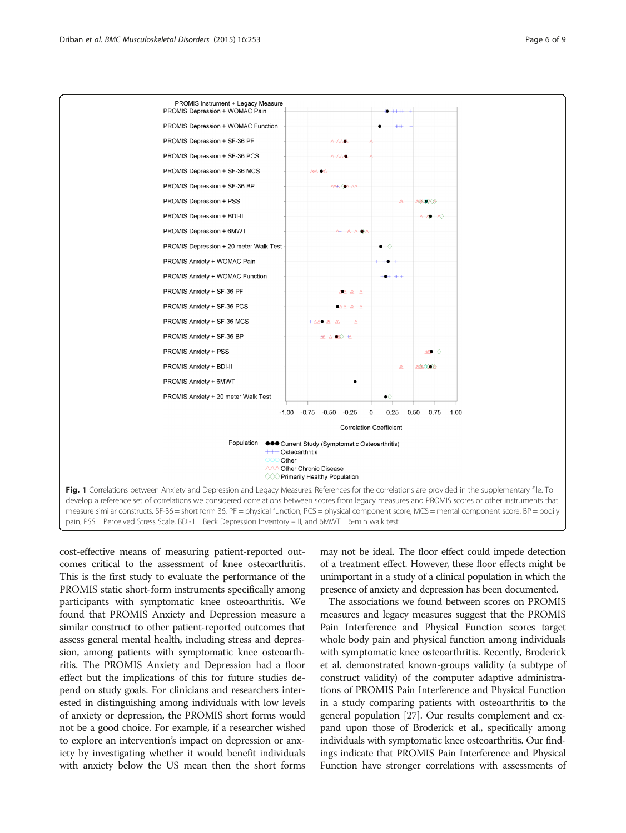<span id="page-5-0"></span>

cost-effective means of measuring patient-reported outcomes critical to the assessment of knee osteoarthritis. This is the first study to evaluate the performance of the PROMIS static short-form instruments specifically among participants with symptomatic knee osteoarthritis. We found that PROMIS Anxiety and Depression measure a similar construct to other patient-reported outcomes that assess general mental health, including stress and depression, among patients with symptomatic knee osteoarthritis. The PROMIS Anxiety and Depression had a floor effect but the implications of this for future studies depend on study goals. For clinicians and researchers interested in distinguishing among individuals with low levels of anxiety or depression, the PROMIS short forms would not be a good choice. For example, if a researcher wished to explore an intervention's impact on depression or anxiety by investigating whether it would benefit individuals with anxiety below the US mean then the short forms may not be ideal. The floor effect could impede detection of a treatment effect. However, these floor effects might be unimportant in a study of a clinical population in which the presence of anxiety and depression has been documented.

The associations we found between scores on PROMIS measures and legacy measures suggest that the PROMIS Pain Interference and Physical Function scores target whole body pain and physical function among individuals with symptomatic knee osteoarthritis. Recently, Broderick et al. demonstrated known-groups validity (a subtype of construct validity) of the computer adaptive administrations of PROMIS Pain Interference and Physical Function in a study comparing patients with osteoarthritis to the general population [\[27\]](#page-8-0). Our results complement and expand upon those of Broderick et al., specifically among individuals with symptomatic knee osteoarthritis. Our findings indicate that PROMIS Pain Interference and Physical Function have stronger correlations with assessments of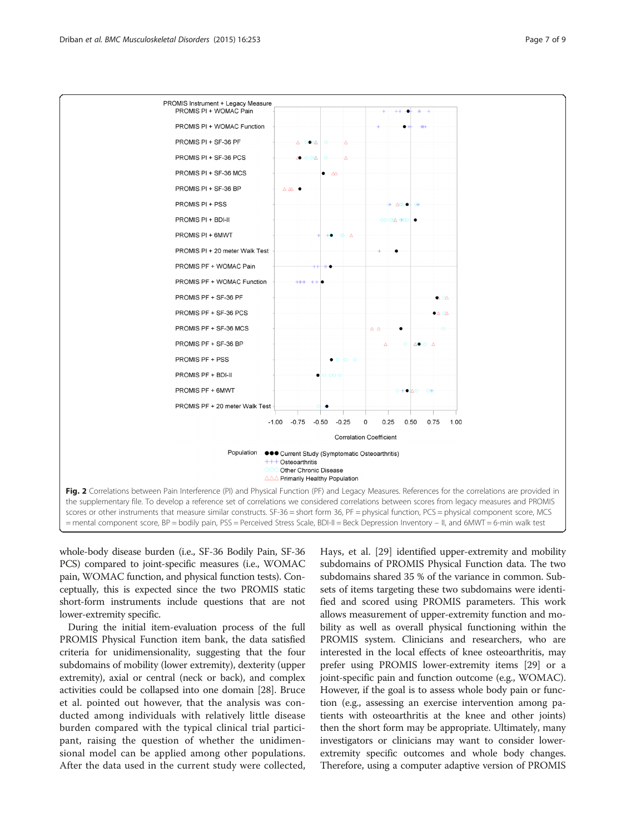<span id="page-6-0"></span>

whole-body disease burden (i.e., SF-36 Bodily Pain, SF-36 PCS) compared to joint-specific measures (i.e., WOMAC pain, WOMAC function, and physical function tests). Conceptually, this is expected since the two PROMIS static short-form instruments include questions that are not lower-extremity specific.

During the initial item-evaluation process of the full PROMIS Physical Function item bank, the data satisfied criteria for unidimensionality, suggesting that the four subdomains of mobility (lower extremity), dexterity (upper extremity), axial or central (neck or back), and complex activities could be collapsed into one domain [\[28\]](#page-8-0). Bruce et al. pointed out however, that the analysis was conducted among individuals with relatively little disease burden compared with the typical clinical trial participant, raising the question of whether the unidimensional model can be applied among other populations. After the data used in the current study were collected,

Hays, et al. [\[29](#page-8-0)] identified upper-extremity and mobility subdomains of PROMIS Physical Function data. The two subdomains shared 35 % of the variance in common. Subsets of items targeting these two subdomains were identified and scored using PROMIS parameters. This work allows measurement of upper-extremity function and mobility as well as overall physical functioning within the PROMIS system. Clinicians and researchers, who are interested in the local effects of knee osteoarthritis, may prefer using PROMIS lower-extremity items [[29](#page-8-0)] or a joint-specific pain and function outcome (e.g., WOMAC). However, if the goal is to assess whole body pain or function (e.g., assessing an exercise intervention among patients with osteoarthritis at the knee and other joints) then the short form may be appropriate. Ultimately, many investigators or clinicians may want to consider lowerextremity specific outcomes and whole body changes. Therefore, using a computer adaptive version of PROMIS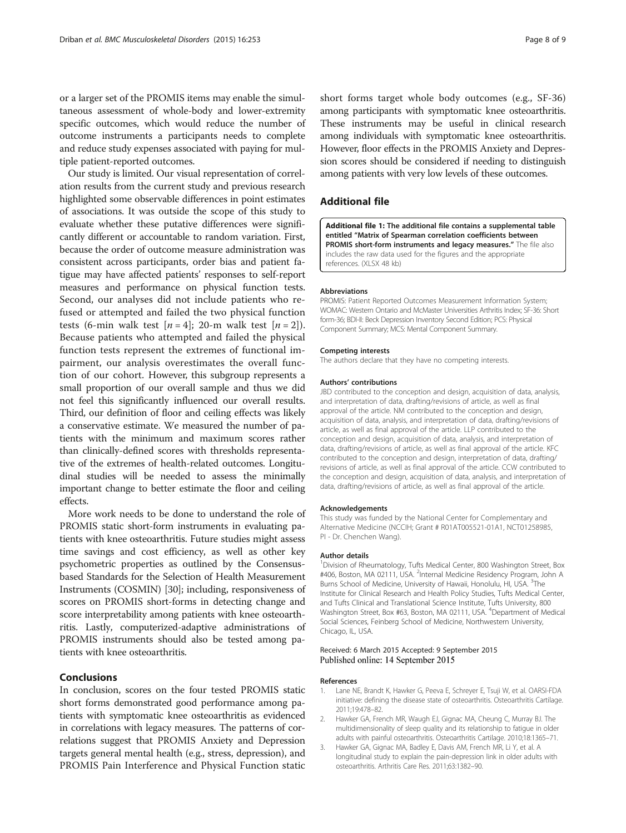<span id="page-7-0"></span>or a larger set of the PROMIS items may enable the simultaneous assessment of whole-body and lower-extremity specific outcomes, which would reduce the number of outcome instruments a participants needs to complete and reduce study expenses associated with paying for multiple patient-reported outcomes.

Our study is limited. Our visual representation of correlation results from the current study and previous research highlighted some observable differences in point estimates of associations. It was outside the scope of this study to evaluate whether these putative differences were significantly different or accountable to random variation. First, because the order of outcome measure administration was consistent across participants, order bias and patient fatigue may have affected patients' responses to self-report measures and performance on physical function tests. Second, our analyses did not include patients who refused or attempted and failed the two physical function tests (6-min walk test  $[n=4]$ ; 20-m walk test  $[n=2]$ ). Because patients who attempted and failed the physical function tests represent the extremes of functional impairment, our analysis overestimates the overall function of our cohort. However, this subgroup represents a small proportion of our overall sample and thus we did not feel this significantly influenced our overall results. Third, our definition of floor and ceiling effects was likely a conservative estimate. We measured the number of patients with the minimum and maximum scores rather than clinically-defined scores with thresholds representative of the extremes of health-related outcomes. Longitudinal studies will be needed to assess the minimally important change to better estimate the floor and ceiling effects.

More work needs to be done to understand the role of PROMIS static short-form instruments in evaluating patients with knee osteoarthritis. Future studies might assess time savings and cost efficiency, as well as other key psychometric properties as outlined by the Consensusbased Standards for the Selection of Health Measurement Instruments (COSMIN) [[30](#page-8-0)]; including, responsiveness of scores on PROMIS short-forms in detecting change and score interpretability among patients with knee osteoarthritis. Lastly, computerized-adaptive administrations of PROMIS instruments should also be tested among patients with knee osteoarthritis.

## Conclusions

In conclusion, scores on the four tested PROMIS static short forms demonstrated good performance among patients with symptomatic knee osteoarthritis as evidenced in correlations with legacy measures. The patterns of correlations suggest that PROMIS Anxiety and Depression targets general mental health (e.g., stress, depression), and PROMIS Pain Interference and Physical Function static

short forms target whole body outcomes (e.g., SF-36) among participants with symptomatic knee osteoarthritis. These instruments may be useful in clinical research among individuals with symptomatic knee osteoarthritis. However, floor effects in the PROMIS Anxiety and Depression scores should be considered if needing to distinguish among patients with very low levels of these outcomes.

## Additional file

[Additional file 1:](http://www.biomedcentral.com/content/supplementary/s12891-015-0715-y-s1.xlsx) The additional file contains a supplemental table entitled "Matrix of Spearman correlation coefficients between PROMIS short-form instruments and legacy measures." The file also includes the raw data used for the figures and the appropriate references. (XLSX 48 kb)

#### Abbreviations

PROMIS: Patient Reported Outcomes Measurement Information System; WOMAC: Western Ontario and McMaster Universities Arthritis Index; SF-36: Short form-36; BDI-II: Beck Depression Inventory Second Edition; PCS: Physical Component Summary; MCS: Mental Component Summary.

#### Competing interests

The authors declare that they have no competing interests.

#### Authors' contributions

JBD contributed to the conception and design, acquisition of data, analysis, and interpretation of data, drafting/revisions of article, as well as final approval of the article. NM contributed to the conception and design, acquisition of data, analysis, and interpretation of data, drafting/revisions of article, as well as final approval of the article. LLP contributed to the conception and design, acquisition of data, analysis, and interpretation of data, drafting/revisions of article, as well as final approval of the article. KFC contributed to the conception and design, interpretation of data, drafting/ revisions of article, as well as final approval of the article. CCW contributed to the conception and design, acquisition of data, analysis, and interpretation of data, drafting/revisions of article, as well as final approval of the article.

#### Acknowledgements

This study was funded by the National Center for Complementary and Alternative Medicine (NCCIH; Grant # R01AT005521-01A1, NCT01258985, PI - Dr. Chenchen Wang).

#### Author details

<sup>1</sup> Division of Rheumatology, Tufts Medical Center, 800 Washington Street, Box #406, Boston, MA 02111, USA. <sup>2</sup>Internal Medicine Residency Program, John A Burns School of Medicine, University of Hawaii, Honolulu, HI, USA. <sup>3</sup>The Institute for Clinical Research and Health Policy Studies, Tufts Medical Center, and Tufts Clinical and Translational Science Institute, Tufts University, 800 Washington Street, Box #63, Boston, MA 02111, USA. <sup>4</sup>Department of Medical Social Sciences, Feinberg School of Medicine, Northwestern University, Chicago, IL, USA.

## Received: 6 March 2015 Accepted: 9 September 2015 Published online: 14 September 2015

#### References

- 1. Lane NE, Brandt K, Hawker G, Peeva E, Schreyer E, Tsuji W, et al. OARSI-FDA initiative: defining the disease state of osteoarthritis. Osteoarthritis Cartilage. 2011;19:478–82.
- 2. Hawker GA, French MR, Waugh EJ, Gignac MA, Cheung C, Murray BJ. The multidimensionality of sleep quality and its relationship to fatigue in older adults with painful osteoarthritis. Osteoarthritis Cartilage. 2010;18:1365–71.
- 3. Hawker GA, Gignac MA, Badley E, Davis AM, French MR, Li Y, et al. A longitudinal study to explain the pain-depression link in older adults with osteoarthritis. Arthritis Care Res. 2011;63:1382–90.